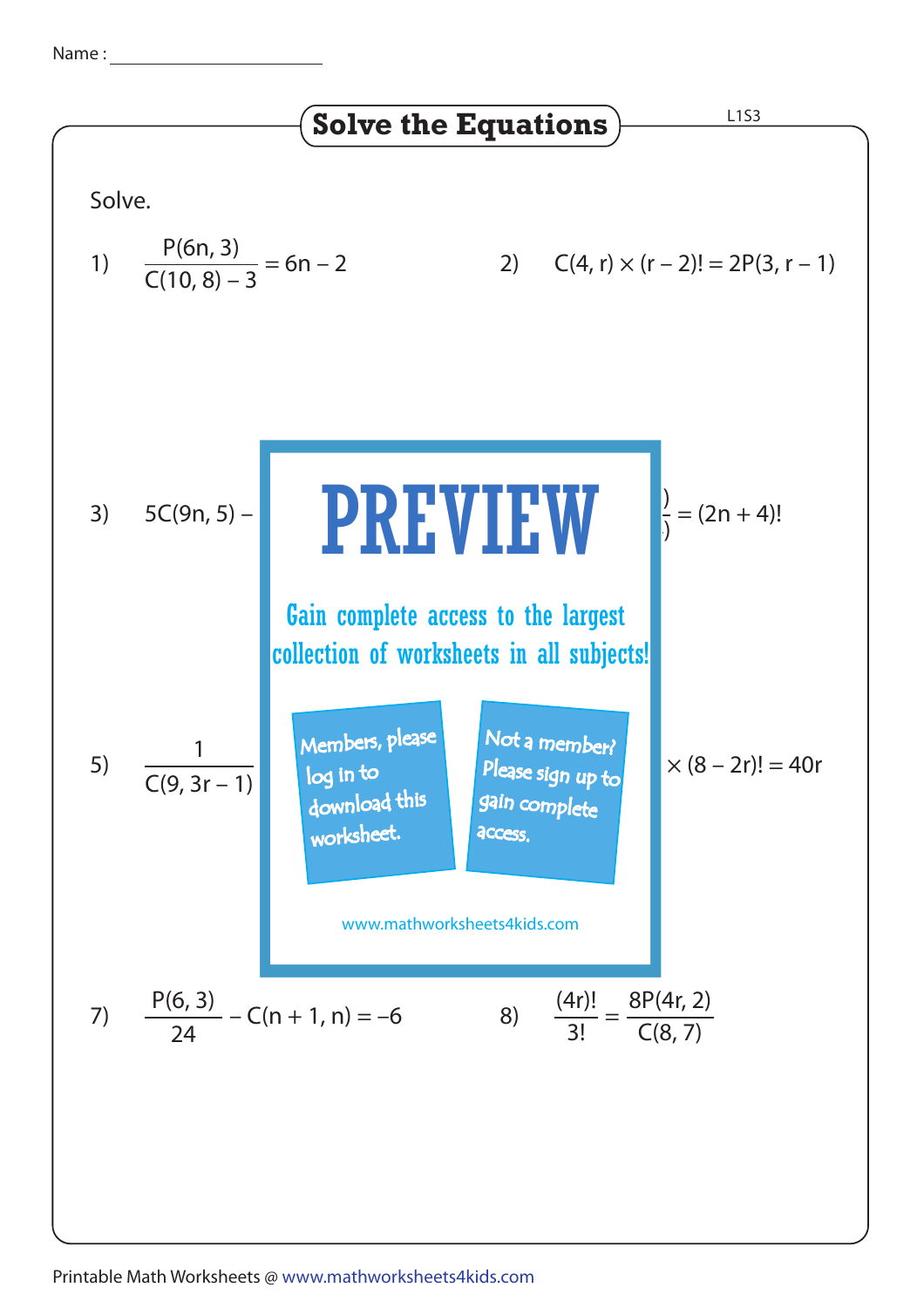